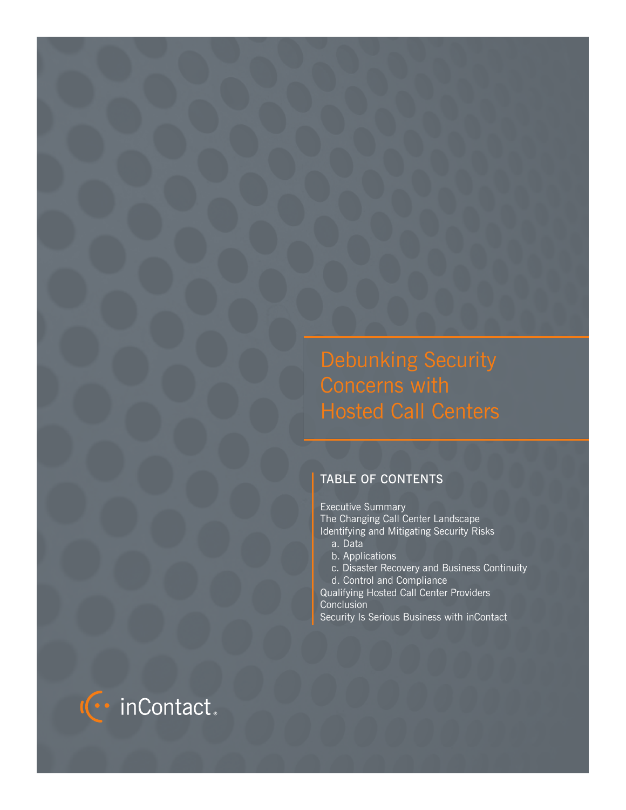Debunking Security Concerns with Hosted Call Centers

# TABLE OF CONTENTS

Executive Summary The Changing Call Center Landscape Identifying and Mitigating Security Risks a. Data

- b. Applications
- c. Disaster Recovery and Business Continuity
- d. Control and Compliance

Qualifying Hosted Call Center Providers **Conclusion** Security Is Serious Business with inContact

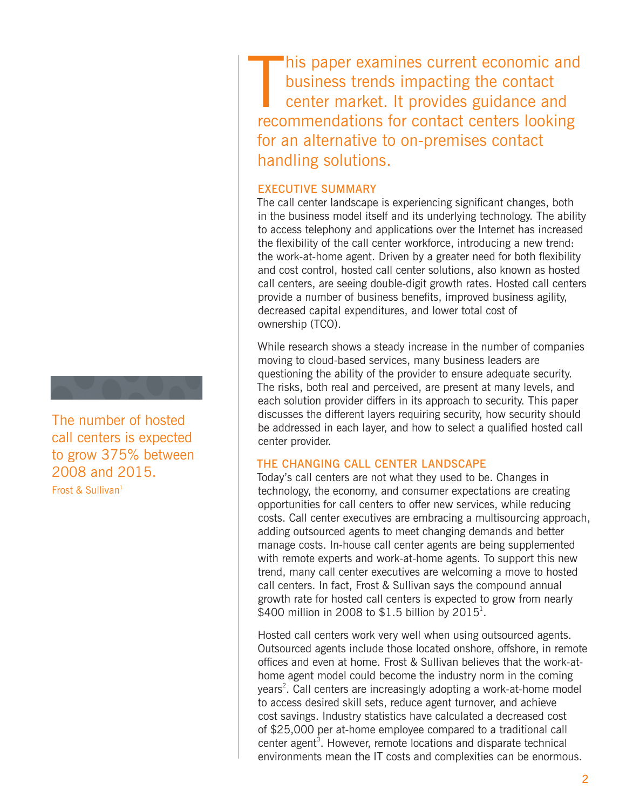The number of hosted call centers is expected to grow 375% between 2008 and 2015. Frost & Sullivan<sup>1</sup>

 $\prod_{\text{max}}$ his paper examines current economic and business trends impacting the contact center market. It provides guidance and recommendations for contact centers looking for an alternative to on-premises contact handling solutions.

# EXECUTIVE SUMMARY

The call center landscape is experiencing significant changes, both in the business model itself and its underlying technology. The ability to access telephony and applications over the Internet has increased the flexibility of the call center workforce, introducing a new trend: the work-at-home agent. Driven by a greater need for both flexibility and cost control, hosted call center solutions, also known as hosted call centers, are seeing double-digit growth rates. Hosted call centers provide a number of business benefits, improved business agility, decreased capital expenditures, and lower total cost of ownership (TCO).

While research shows a steady increase in the number of companies moving to cloud-based services, many business leaders are questioning the ability of the provider to ensure adequate security. The risks, both real and perceived, are present at many levels, and each solution provider differs in its approach to security. This paper discusses the different layers requiring security, how security should be addressed in each layer, and how to select a qualified hosted call center provider.

# THE CHANGING CALL CENTER LANDSCAPE

Today's call centers are not what they used to be. Changes in technology, the economy, and consumer expectations are creating opportunities for call centers to offer new services, while reducing costs. Call center executives are embracing a multisourcing approach, adding outsourced agents to meet changing demands and better manage costs. In-house call center agents are being supplemented with remote experts and work-at-home agents. To support this new trend, many call center executives are welcoming a move to hosted call centers. In fact, Frost & Sullivan says the compound annual growth rate for hosted call centers is expected to grow from nearly \$400 million in 2008 to \$1.5 billion by 2015<sup>1</sup>.

Hosted call centers work very well when using outsourced agents. Outsourced agents include those located onshore, offshore, in remote offices and even at home. Frost & Sullivan believes that the work-athome agent model could become the industry norm in the coming years<sup>2</sup>. Call centers are increasingly adopting a work-at-home model to access desired skill sets, reduce agent turnover, and achieve cost savings. Industry statistics have calculated a decreased cost of \$25,000 per at-home employee compared to a traditional call center agent<sup>3</sup>. However, remote locations and disparate technical environments mean the IT costs and complexities can be enormous.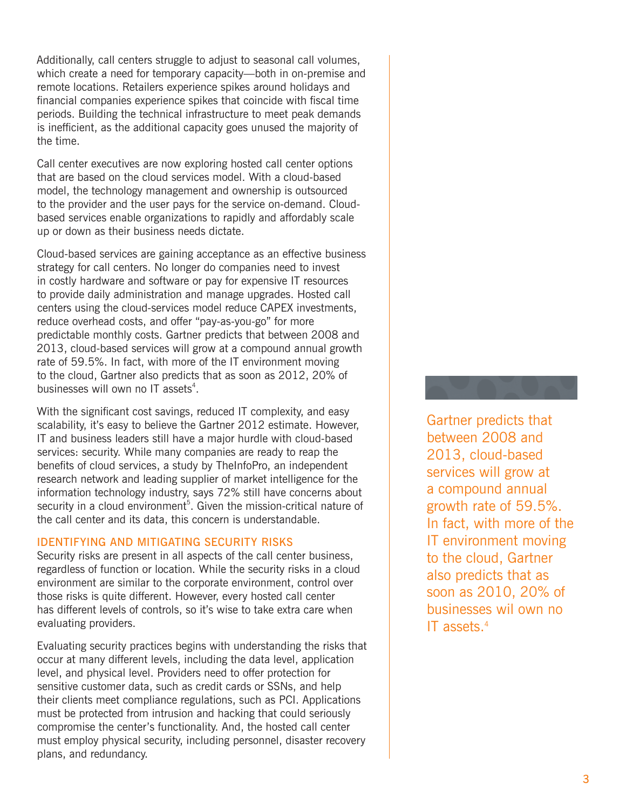Additionally, call centers struggle to adjust to seasonal call volumes, which create a need for temporary capacity—both in on-premise and remote locations. Retailers experience spikes around holidays and financial companies experience spikes that coincide with fiscal time periods. Building the technical infrastructure to meet peak demands is inefficient, as the additional capacity goes unused the majority of the time.

Call center executives are now exploring hosted call center options that are based on the cloud services model. With a cloud-based model, the technology management and ownership is outsourced to the provider and the user pays for the service on-demand. Cloudbased services enable organizations to rapidly and affordably scale up or down as their business needs dictate.

Cloud-based services are gaining acceptance as an effective business strategy for call centers. No longer do companies need to invest in costly hardware and software or pay for expensive IT resources to provide daily administration and manage upgrades. Hosted call centers using the cloud-services model reduce CAPEX investments, reduce overhead costs, and offer "pay-as-you-go" for more predictable monthly costs. Gartner predicts that between 2008 and 2013, cloud-based services will grow at a compound annual growth rate of 59.5%. In fact, with more of the IT environment moving to the cloud, Gartner also predicts that as soon as 2012, 20% of businesses will own no IT assets<sup>4</sup>.

With the significant cost savings, reduced IT complexity, and easy scalability, it's easy to believe the Gartner 2012 estimate. However, IT and business leaders still have a major hurdle with cloud-based services: security. While many companies are ready to reap the benefits of cloud services, a study by TheInfoPro, an independent research network and leading supplier of market intelligence for the information technology industry, says 72% still have concerns about security in a cloud environment<sup>5</sup>. Given the mission-critical nature of the call center and its data, this concern is understandable.

# IDENTIFYING AND MITIGATING SECURITY RISKS

Security risks are present in all aspects of the call center business, regardless of function or location. While the security risks in a cloud environment are similar to the corporate environment, control over those risks is quite different. However, every hosted call center has different levels of controls, so it's wise to take extra care when evaluating providers.

Evaluating security practices begins with understanding the risks that occur at many different levels, including the data level, application level, and physical level. Providers need to offer protection for sensitive customer data, such as credit cards or SSNs, and help their clients meet compliance regulations, such as PCI. Applications must be protected from intrusion and hacking that could seriously compromise the center's functionality. And, the hosted call center must employ physical security, including personnel, disaster recovery plans, and redundancy.

# Gartner predicts that between 2008 and 2013, cloud-based services will grow at a compound annual growth rate of 59.5%. In fact, with more of the IT environment moving to the cloud, Gartner also predicts that as soon as 2010, 20% of businesses wil own no IT assets  $4$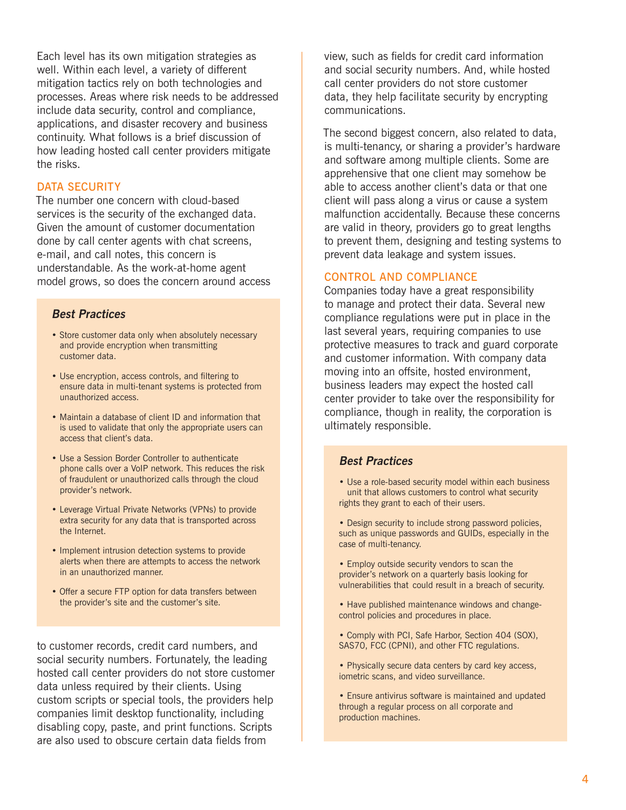Each level has its own mitigation strategies as well. Within each level, a variety of different mitigation tactics rely on both technologies and processes. Areas where risk needs to be addressed include data security, control and compliance, applications, and disaster recovery and business continuity. What follows is a brief discussion of how leading hosted call center providers mitigate the risks.

# DATA SECURITY

The number one concern with cloud-based services is the security of the exchanged data. Given the amount of customer documentation done by call center agents with chat screens, e-mail, and call notes, this concern is understandable. As the work-at-home agent model grows, so does the concern around access

# **Best Practices**

- Store customer data only when absolutely necessary and provide encryption when transmitting customer data.
- Use encryption, access controls, and filtering to ensure data in multi-tenant systems is protected from unauthorized access.
- Maintain a database of client ID and information that is used to validate that only the appropriate users can access that client's data.
- Use a Session Border Controller to authenticate phone calls over a VoIP network. This reduces the risk of fraudulent or unauthorized calls through the cloud provider's network.
- Leverage Virtual Private Networks (VPNs) to provide extra security for any data that is transported across the Internet.
- Implement intrusion detection systems to provide alerts when there are attempts to access the network in an unauthorized manner.
- Offer a secure FTP option for data transfers between the provider's site and the customer's site.

to customer records, credit card numbers, and social security numbers. Fortunately, the leading hosted call center providers do not store customer data unless required by their clients. Using custom scripts or special tools, the providers help companies limit desktop functionality, including disabling copy, paste, and print functions. Scripts are also used to obscure certain data fields from

view, such as fields for credit card information and social security numbers. And, while hosted call center providers do not store customer data, they help facilitate security by encrypting communications.

The second biggest concern, also related to data, is multi-tenancy, or sharing a provider's hardware and software among multiple clients. Some are apprehensive that one client may somehow be able to access another client's data or that one client will pass along a virus or cause a system malfunction accidentally. Because these concerns are valid in theory, providers go to great lengths to prevent them, designing and testing systems to prevent data leakage and system issues.

### CONTROL AND COMPLIANCE

Companies today have a great responsibility to manage and protect their data. Several new compliance regulations were put in place in the last several years, requiring companies to use protective measures to track and guard corporate and customer information. With company data moving into an offsite, hosted environment, business leaders may expect the hosted call center provider to take over the responsibility for compliance, though in reality, the corporation is ultimately responsible.

# **Best Practices**

- Use a role-based security model within each business unit that allows customers to control what security rights they grant to each of their users.
- Design security to include strong password policies, such as unique passwords and GUIDs, especially in the case of multi-tenancy.
- Employ outside security vendors to scan the provider's network on a quarterly basis looking for vulnerabilities that could result in a breach of security.
- Have published maintenance windows and changecontrol policies and procedures in place.
- Comply with PCI, Safe Harbor, Section 404 (SOX), SAS70, FCC (CPNI), and other FTC regulations.
- Physically secure data centers by card key access, iometric scans, and video surveillance.
- Ensure antivirus software is maintained and updated through a regular process on all corporate and production machines.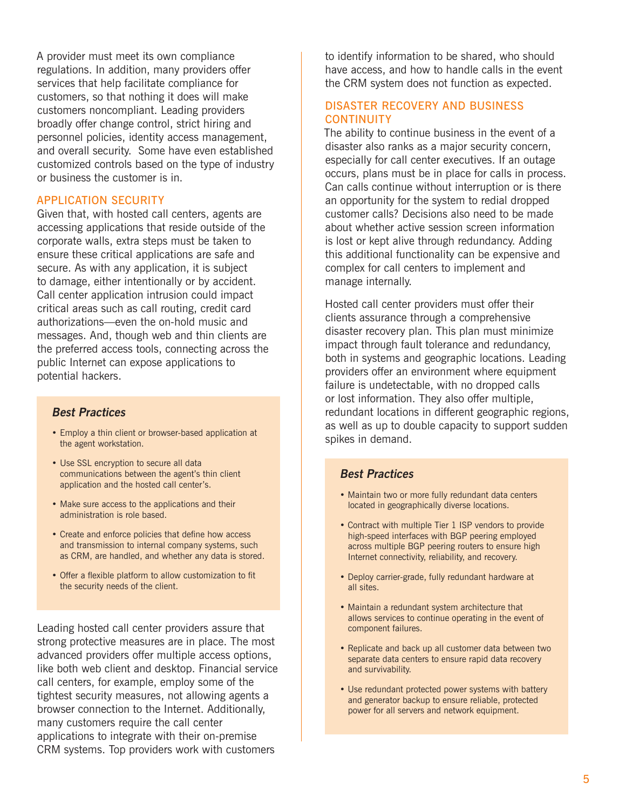A provider must meet its own compliance regulations. In addition, many providers offer services that help facilitate compliance for customers, so that nothing it does will make customers noncompliant. Leading providers broadly offer change control, strict hiring and personnel policies, identity access management, and overall security. Some have even established customized controls based on the type of industry or business the customer is in.

#### APPLICATION SECURITY

Given that, with hosted call centers, agents are accessing applications that reside outside of the corporate walls, extra steps must be taken to ensure these critical applications are safe and secure. As with any application, it is subject to damage, either intentionally or by accident. Call center application intrusion could impact critical areas such as call routing, credit card authorizations—even the on-hold music and messages. And, though web and thin clients are the preferred access tools, connecting across the public Internet can expose applications to potential hackers.

# **Best Practices**

- Employ a thin client or browser-based application at the agent workstation.
- Use SSL encryption to secure all data communications between the agent's thin client application and the hosted call center's.
- Make sure access to the applications and their administration is role based.
- Create and enforce policies that define how access and transmission to internal company systems, such as CRM, are handled, and whether any data is stored.
- Offer a flexible platform to allow customization to fit the security needs of the client.

Leading hosted call center providers assure that strong protective measures are in place. The most advanced providers offer multiple access options, like both web client and desktop. Financial service call centers, for example, employ some of the tightest security measures, not allowing agents a browser connection to the Internet. Additionally, many customers require the call center applications to integrate with their on-premise CRM systems. Top providers work with customers

to identify information to be shared, who should have access, and how to handle calls in the event the CRM system does not function as expected.

### DISASTER RECOVERY AND BUSINESS **CONTINUITY**

The ability to continue business in the event of a disaster also ranks as a major security concern, especially for call center executives. If an outage occurs, plans must be in place for calls in process. Can calls continue without interruption or is there an opportunity for the system to redial dropped customer calls? Decisions also need to be made about whether active session screen information is lost or kept alive through redundancy. Adding this additional functionality can be expensive and complex for call centers to implement and manage internally.

Hosted call center providers must offer their clients assurance through a comprehensive disaster recovery plan. This plan must minimize impact through fault tolerance and redundancy, both in systems and geographic locations. Leading providers offer an environment where equipment failure is undetectable, with no dropped calls or lost information. They also offer multiple, redundant locations in different geographic regions, as well as up to double capacity to support sudden spikes in demand.

# **Best Practices**

- Maintain two or more fully redundant data centers located in geographically diverse locations.
- Contract with multiple Tier 1 ISP vendors to provide high-speed interfaces with BGP peering employed across multiple BGP peering routers to ensure high Internet connectivity, reliability, and recovery.
- Deploy carrier-grade, fully redundant hardware at all sites.
- Maintain a redundant system architecture that allows services to continue operating in the event of component failures.
- Replicate and back up all customer data between two separate data centers to ensure rapid data recovery and survivability.
- Use redundant protected power systems with battery and generator backup to ensure reliable, protected power for all servers and network equipment.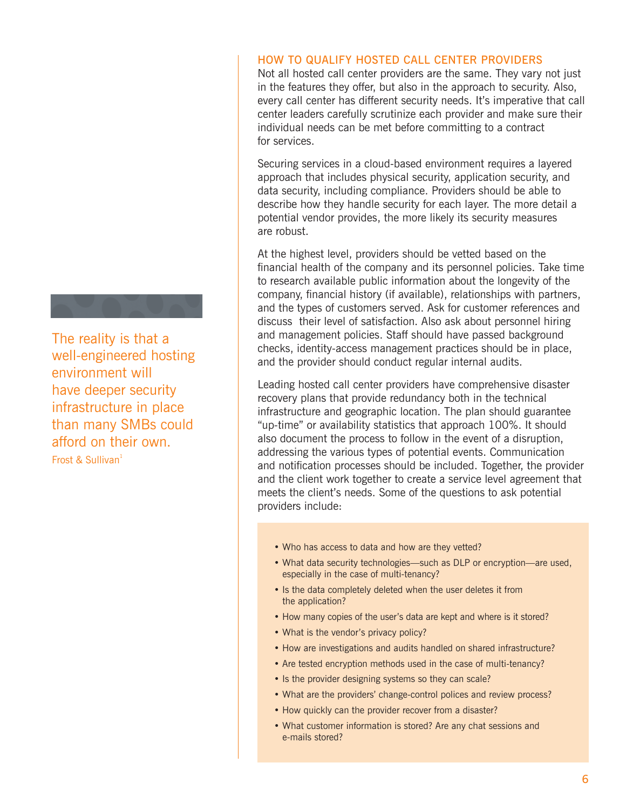# The reality is that a well-engineered hosting environment will have deeper security infrastructure in place than many SMBs could afford on their own. Frost & Sullivan $1$

# HOW TO QUALIFY HOSTED CALL CENTER PROVIDERS

Not all hosted call center providers are the same. They vary not just in the features they offer, but also in the approach to security. Also, every call center has different security needs. It's imperative that call center leaders carefully scrutinize each provider and make sure their individual needs can be met before committing to a contract for services.

Securing services in a cloud-based environment requires a layered approach that includes physical security, application security, and data security, including compliance. Providers should be able to describe how they handle security for each layer. The more detail a potential vendor provides, the more likely its security measures are robust.

At the highest level, providers should be vetted based on the financial health of the company and its personnel policies. Take time to research available public information about the longevity of the company, financial history (if available), relationships with partners, and the types of customers served. Ask for customer references and discuss their level of satisfaction. Also ask about personnel hiring and management policies. Staff should have passed background checks, identity-access management practices should be in place, and the provider should conduct regular internal audits.

Leading hosted call center providers have comprehensive disaster recovery plans that provide redundancy both in the technical infrastructure and geographic location. The plan should guarantee "up-time" or availability statistics that approach 100%. It should also document the process to follow in the event of a disruption, addressing the various types of potential events. Communication and notification processes should be included. Together, the provider and the client work together to create a service level agreement that meets the client's needs. Some of the questions to ask potential providers include:

- Who has access to data and how are they vetted?
- What data security technologies—such as DLP or encryption—are used, especially in the case of multi-tenancy?
- Is the data completely deleted when the user deletes it from the application?
- How many copies of the user's data are kept and where is it stored?
- What is the vendor's privacy policy?
- How are investigations and audits handled on shared infrastructure?
- Are tested encryption methods used in the case of multi-tenancy?
- Is the provider designing systems so they can scale?
- What are the providers' change-control polices and review process?
- How quickly can the provider recover from a disaster?
- What customer information is stored? Are any chat sessions and e-mails stored?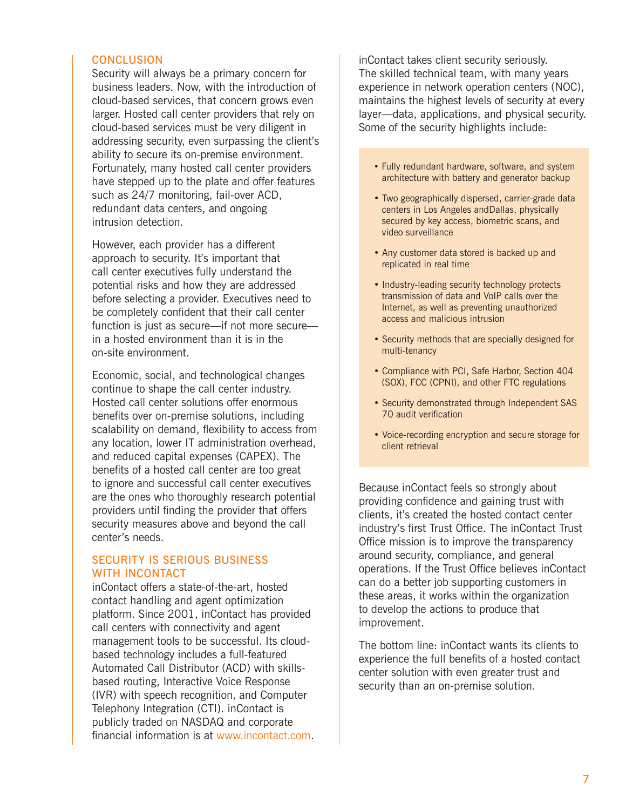#### **CONCLUSION**

Security will always be a primary concern for business leaders. Now, with the introduction of cloud-based services, that concern grows even larger. Hosted call center providers that rely on cloud-based services must be very diligent in addressing security, even surpassing the client's ability to secure its on-premise environment. Fortunately, many hosted call center providers have stepped up to the plate and offer features such as 24/7 monitoring, fail-over ACD, redundant data centers, and ongoing intrusion detection.

However, each provider has a different approach to security. It's important that call center executives fully understand the potential risks and how they are addressed before selecting a provider. Executives need to be completely confident that their call center function is just as secure—if not more secure in a hosted environment than it is in the on-site environment.

Economic, social, and technological changes continue to shape the call center industry. Hosted call center solutions offer enormous benefits over on-premise solutions, including scalability on demand, flexibility to access from any location, lower IT administration overhead, and reduced capital expenses (CAPEX). The benefits of a hosted call center are too great to ignore and successful call center executives are the ones who thoroughly research potential providers until finding the provider that offers security measures above and beyond the call center's needs.

## SECURITY IS SERIOUS BUSINESS WITH INCONTACT

inContact offers a state-of-the-art, hosted contact handling and agent optimization platform. Since 2001, inContact has provided call centers with connectivity and agent management tools to be successful. Its cloudbased technology includes a full-featured Automated Call Distributor (ACD) with skillsbased routing, Interactive Voice Response (IVR) with speech recognition, and Computer Telephony Integration (CTI). inContact is publicly traded on NASDAQ and corporate financial information is at www.incontact.com. inContact takes client security seriously. The skilled technical team, with many years experience in network operation centers (NOC), maintains the highest levels of security at every layer—data, applications, and physical security. Some of the security highlights include:

- Fully redundant hardware, software, and system architecture with battery and generator backup
- Two geographically dispersed, carrier-grade data centers in Los Angeles andDallas, physically secured by key access, biometric scans, and video surveillance
- Any customer data stored is backed up and replicated in real time
- Industry-leading security technology protects transmission of data and VoIP calls over the Internet, as well as preventing unauthorized access and malicious intrusion
- Security methods that are specially designed for multi-tenancy
- Compliance with PCI, Safe Harbor, Section 404 (SOX), FCC (CPNI), and other FTC regulations
- Security demonstrated through Independent SAS 70 audit verification
- Voice-recording encryption and secure storage for client retrieval

Because inContact feels so strongly about providing confidence and gaining trust with clients, it's created the hosted contact center industry's first Trust Office. The inContact Trust Office mission is to improve the transparency around security, compliance, and general operations. If the Trust Office believes inContact can do a better job supporting customers in these areas, it works within the organization to develop the actions to produce that improvement.

The bottom line: inContact wants its clients to experience the full benefits of a hosted contact center solution with even greater trust and security than an on-premise solution.